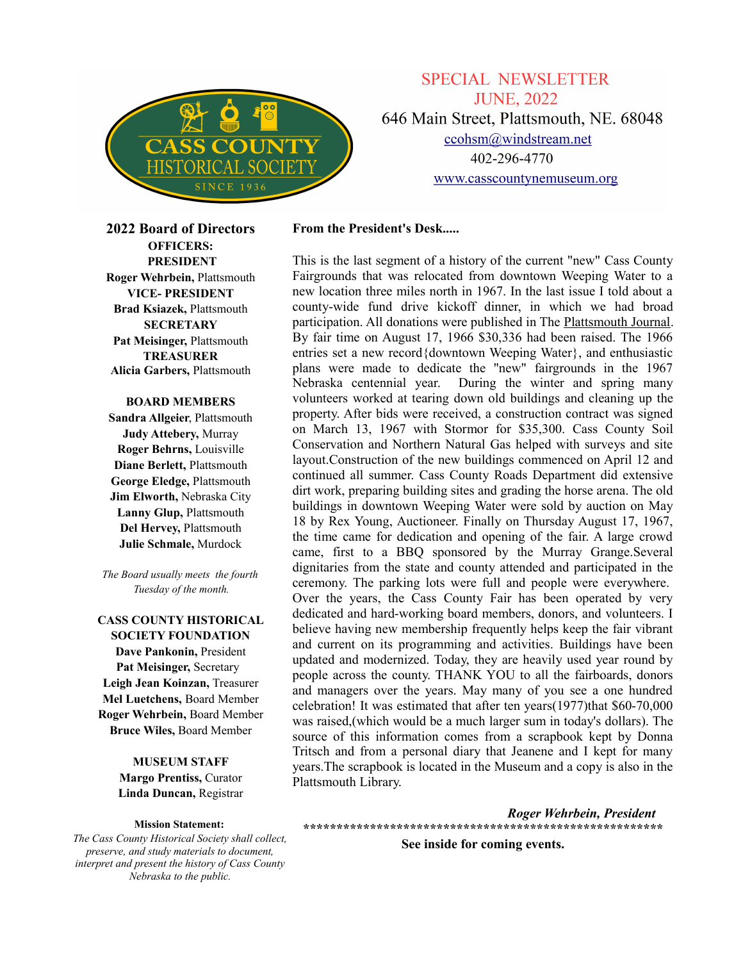

**SPECIAL NEWSLETTER JUNE, 2022** 646 Main Street, Plattsmouth, NE. 68048  $ccohs m@windstream.net$ 402-296-4770 www.casscountynemuseum.org

**2022 Board of Directors OFFICERS: PRESIDENT Roger Wehrbein,** Plattsmouth **VICE- PRESIDENT Brad Ksiazek,** Plattsmouth **SECRETARY Pat Meisinger,** Plattsmouth **TREASURER Alicia Garbers,** Plattsmouth

## **BOARD MEMBERS**

**Sandra Allgeier**, Plattsmouth **Judy Attebery,** Murray **Roger Behrns,** Louisville **Diane Berlett,** Plattsmouth **George Eledge,** Plattsmouth **Jim Elworth,** Nebraska City **Lanny Glup,** Plattsmouth **Del Hervey,** Plattsmouth **Julie Schmale,** Murdock

*The Board usually meets the fourth Tuesday of the month.*

**CASS COUNTY HISTORICAL SOCIETY FOUNDATION Dave Pankonin,** President **Pat Meisinger,** Secretary **Leigh Jean Koinzan,** Treasurer **Mel Luetchens,** Board Member **Roger Wehrbein,** Board Member **Bruce Wiles,** Board Member

> **MUSEUM STAFF Margo Prentiss,** Curator **Linda Duncan,** Registrar

#### **Mission Statement:**

*The Cass County Historical Society shall collect, preserve, and study materials to document, interpret and present the history of Cass County Nebraska to the public.*

## **From the President's Desk.....**

This is the last segment of a history of the current "new" Cass County Fairgrounds that was relocated from downtown Weeping Water to a new location three miles north in 1967. In the last issue I told about a county-wide fund drive kickoff dinner, in which we had broad participation. All donations were published in The Plattsmouth Journal. By fair time on August 17, 1966 \$30,336 had been raised. The 1966 entries set a new record{downtown Weeping Water}, and enthusiastic plans were made to dedicate the "new" fairgrounds in the 1967 Nebraska centennial year. During the winter and spring many volunteers worked at tearing down old buildings and cleaning up the property. After bids were received, a construction contract was signed on March 13, 1967 with Stormor for \$35,300. Cass County Soil Conservation and Northern Natural Gas helped with surveys and site layout.Construction of the new buildings commenced on April 12 and continued all summer. Cass County Roads Department did extensive dirt work, preparing building sites and grading the horse arena. The old buildings in downtown Weeping Water were sold by auction on May 18 by Rex Young, Auctioneer. Finally on Thursday August 17, 1967, the time came for dedication and opening of the fair. A large crowd came, first to a BBQ sponsored by the Murray Grange.Several dignitaries from the state and county attended and participated in the ceremony. The parking lots were full and people were everywhere. Over the years, the Cass County Fair has been operated by very dedicated and hard-working board members, donors, and volunteers. I believe having new membership frequently helps keep the fair vibrant and current on its programming and activities. Buildings have been updated and modernized. Today, they are heavily used year round by people across the county. THANK YOU to all the fairboards, donors and managers over the years. May many of you see a one hundred celebration! It was estimated that after ten years(1977)that \$60-70,000 was raised,(which would be a much larger sum in today's dollars). The source of this information comes from a scrapbook kept by Donna Tritsch and from a personal diary that Jeanene and I kept for many years.The scrapbook is located in the Museum and a copy is also in the Plattsmouth Library.

*Roger Wehrbein, President* **\*\*\*\*\*\*\*\*\*\*\*\*\*\*\*\*\*\*\*\*\*\*\*\*\*\*\*\*\*\*\*\*\*\*\*\*\*\*\*\*\*\*\*\*\*\*\*\*\*\*\*\*\*\***

**See inside for coming events.**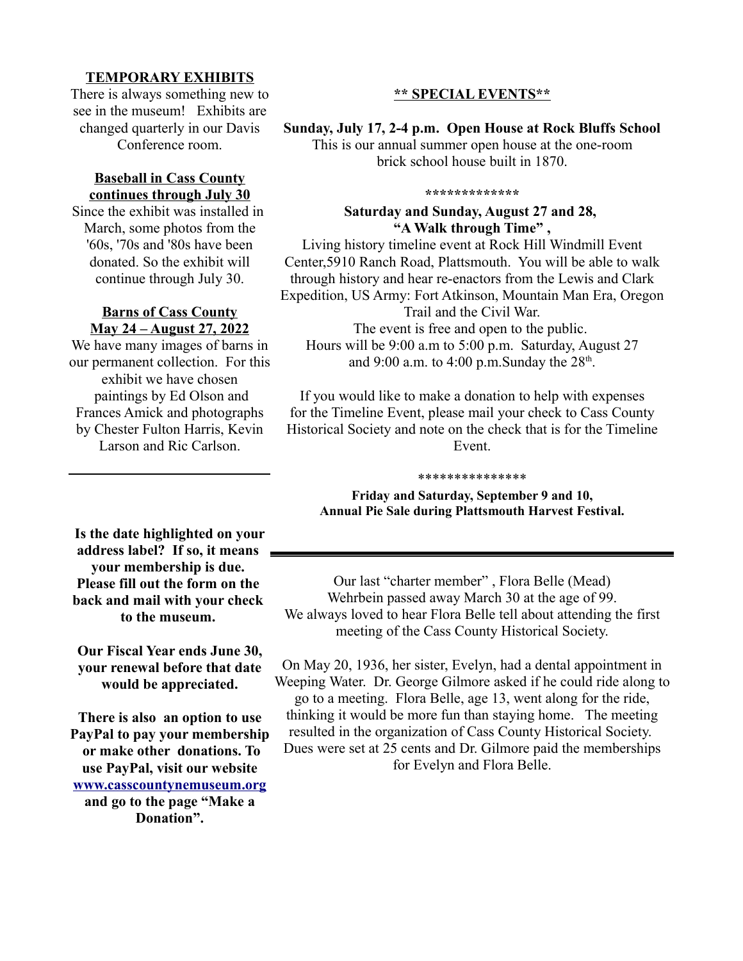## **TEMPORARY EXHIBITS**

There is always something new to see in the museum! Exhibits are changed quarterly in our Davis Conference room.

## **Baseball in Cass County continues through July 30**

Since the exhibit was installed in March, some photos from the '60s, '70s and '80s have been donated. So the exhibit will continue through July 30.

## **Barns of Cass County May 24 – August 27, 2022**

We have many images of barns in our permanent collection. For this exhibit we have chosen paintings by Ed Olson and Frances Amick and photographs by Chester Fulton Harris, Kevin Larson and Ric Carlson.

# **\*\* SPECIAL EVENTS\*\***

## **Sunday, July 17, 2-4 p.m. Open House at Rock Bluffs School**

This is our annual summer open house at the one-room brick school house built in 1870.

#### **\*\*\*\*\*\*\*\*\*\*\*\*\***

## **Saturday and Sunday, August 27 and 28, "A Walk through Time" ,**

Living history timeline event at Rock Hill Windmill Event Center,5910 Ranch Road, Plattsmouth. You will be able to walk through history and hear re-enactors from the Lewis and Clark Expedition, US Army: Fort Atkinson, Mountain Man Era, Oregon

Trail and the Civil War.

The event is free and open to the public. Hours will be 9:00 a.m to 5:00 p.m. Saturday, August 27 and 9:00 a.m. to 4:00 p.m. Sunday the  $28<sup>th</sup>$ .

If you would like to make a donation to help with expenses for the Timeline Event, please mail your check to Cass County Historical Society and note on the check that is for the Timeline Event.

#### \*\*\*\*\*\*\*\*\*\*\*\*\*\*\*

**Friday and Saturday, September 9 and 10, Annual Pie Sale during Plattsmouth Harvest Festival.**

**Is the date highlighted on your address label? If so, it means your membership is due. Please fill out the form on the back and mail with your check to the museum.** 

**Our Fiscal Year ends June 30, your renewal before that date would be appreciated.**

**There is also an option to use PayPal to pay your membership or make other donations. To use PayPal, visit our website [www.casscountynemuseum.org](http://www.casscountynemuseum.org/) and go to the page "Make a Donation".**

Our last "charter member" , Flora Belle (Mead) Wehrbein passed away March 30 at the age of 99. We always loved to hear Flora Belle tell about attending the first meeting of the Cass County Historical Society.

On May 20, 1936, her sister, Evelyn, had a dental appointment in Weeping Water. Dr. George Gilmore asked if he could ride along to go to a meeting. Flora Belle, age 13, went along for the ride, thinking it would be more fun than staying home. The meeting resulted in the organization of Cass County Historical Society. Dues were set at 25 cents and Dr. Gilmore paid the memberships for Evelyn and Flora Belle.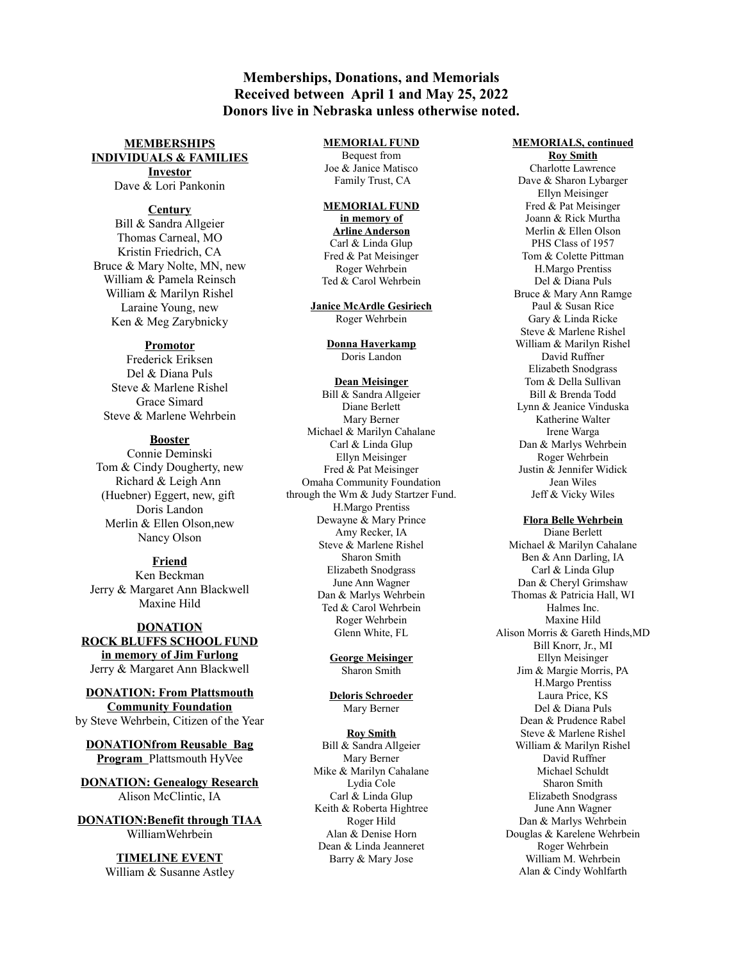## **Memberships, Donations, and Memorials Received between April 1 and May 25, 2022 Donors live in Nebraska unless otherwise noted.**

### **MEMBERSHIPS INDIVIDUALS & FAMILIES Investor**

Dave & Lori Pankonin

### **Century**

Bill & Sandra Allgeier Thomas Carneal, MO Kristin Friedrich, CA Bruce & Mary Nolte, MN, new William & Pamela Reinsch William & Marilyn Rishel Laraine Young, new Ken & Meg Zarybnicky

#### **Promotor**

Frederick Eriksen Del & Diana Puls Steve & Marlene Rishel Grace Simard Steve & Marlene Wehrbein

## **Booster**

Connie Deminski Tom & Cindy Dougherty, new Richard & Leigh Ann (Huebner) Eggert, new, gift Doris Landon Merlin & Ellen Olson,new Nancy Olson

## **Friend**

Ken Beckman Jerry & Margaret Ann Blackwell Maxine Hild

## **DONATION ROCK BLUFFS SCHOOL FUND in memory of Jim Furlong** Jerry & Margaret Ann Blackwell

## **DONATION: From Plattsmouth Community Foundation** by Steve Wehrbein, Citizen of the Year

**DONATIONfrom Reusable Bag Program** Plattsmouth HyVee

**DONATION: Genealogy Research** Alison McClintic, IA

**DONATION:Benefit through TIAA** WilliamWehrbein

> **TIMELINE EVENT** William & Susanne Astley

### **MEMORIAL FUND**

Bequest from Joe & Janice Matisco Family Trust, CA

## **MEMORIAL FUND**

**in memory of Arline Anderson** Carl & Linda Glup Fred & Pat Meisinger Roger Wehrbein Ted & Carol Wehrbein

**Janice McArdle Gesiriech** Roger Wehrbein

> **Donna Haverkamp** Doris Landon

#### **Dean Meisinger** Bill & Sandra Allgeier Diane Berlett Mary Berner Michael & Marilyn Cahalane Carl & Linda Glup Ellyn Meisinger Fred & Pat Meisinger Omaha Community Foundation through the Wm & Judy Startzer Fund. H.Margo Prentiss Dewayne & Mary Prince Amy Recker, IA Steve & Marlene Rishel Sharon Smith Elizabeth Snodgrass June Ann Wagner Dan & Marlys Wehrbein Ted & Carol Wehrbein Roger Wehrbein Glenn White, FL

**George Meisinger** Sharon Smith

**Deloris Schroeder** Mary Berner

#### **Roy Smith** Bill & Sandra Allgeier Mary Berner Mike & Marilyn Cahalane Lydia Cole Carl & Linda Glup Keith & Roberta Hightree Roger Hild Alan & Denise Horn Dean & Linda Jeanneret Barry & Mary Jose

#### **MEMORIALS, continued**

**Roy Smith** Charlotte Lawrence Dave & Sharon Lybarger Ellyn Meisinger Fred & Pat Meisinger Joann & Rick Murtha Merlin & Ellen Olson PHS Class of 1957 Tom & Colette Pittman H.Margo Prentiss Del & Diana Puls Bruce & Mary Ann Ramge Paul & Susan Rice Gary & Linda Ricke Steve & Marlene Rishel William & Marilyn Rishel David Ruffner Elizabeth Snodgrass Tom & Della Sullivan Bill & Brenda Todd Lynn & Jeanice Vinduska Katherine Walter Irene Warga Dan & Marlys Wehrbein Roger Wehrbein Justin & Jennifer Widick Jean Wiles Jeff & Vicky Wiles

#### **Flora Belle Wehrbein**

Diane Berlett Michael & Marilyn Cahalane Ben & Ann Darling, IA Carl & Linda Glup Dan & Cheryl Grimshaw Thomas & Patricia Hall, WI Halmes Inc. Maxine Hild Alison Morris & Gareth Hinds,MD Bill Knorr, Jr., MI Ellyn Meisinger Jim & Margie Morris, PA H.Margo Prentiss Laura Price, KS Del & Diana Puls Dean & Prudence Rabel Steve & Marlene Rishel William & Marilyn Rishel David Ruffner Michael Schuldt Sharon Smith Elizabeth Snodgrass June Ann Wagner Dan & Marlys Wehrbein Douglas & Karelene Wehrbein Roger Wehrbein William M. Wehrbein Alan & Cindy Wohlfarth